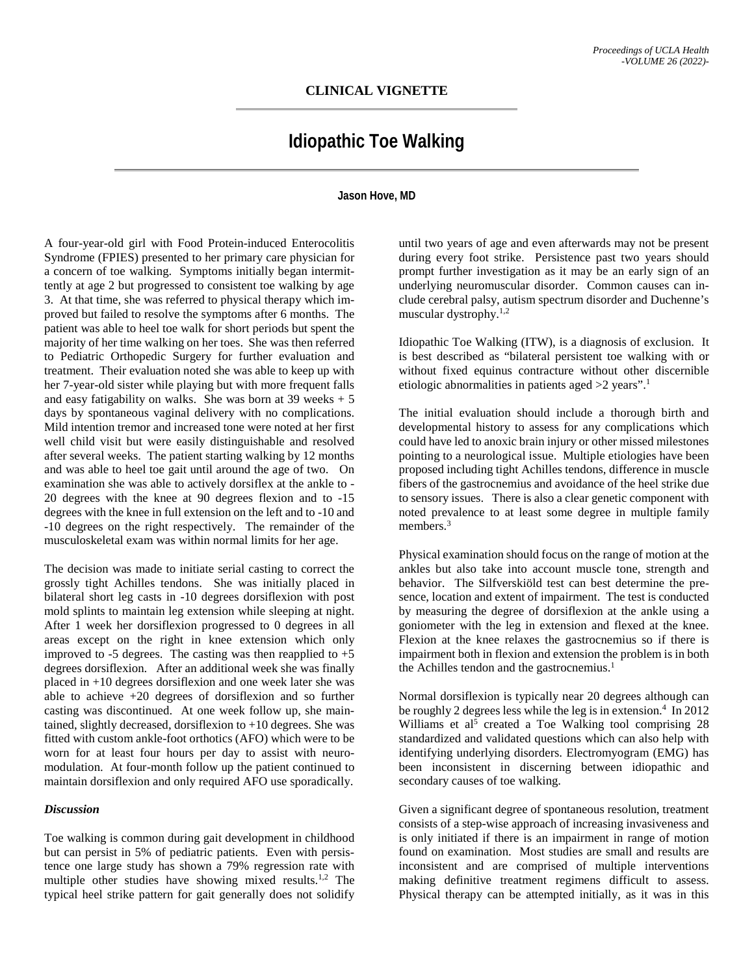## **Idiopathic Toe Walking**

## **Jason Hove, MD**

A four-year-old girl with Food Protein-induced Enterocolitis Syndrome (FPIES) presented to her primary care physician for a concern of toe walking. Symptoms initially began intermittently at age 2 but progressed to consistent toe walking by age 3. At that time, she was referred to physical therapy which improved but failed to resolve the symptoms after 6 months. The patient was able to heel toe walk for short periods but spent the majority of her time walking on her toes. She was then referred to Pediatric Orthopedic Surgery for further evaluation and treatment. Their evaluation noted she was able to keep up with her 7-year-old sister while playing but with more frequent falls and easy fatigability on walks. She was born at  $39$  weeks  $+5$ days by spontaneous vaginal delivery with no complications. Mild intention tremor and increased tone were noted at her first well child visit but were easily distinguishable and resolved after several weeks. The patient starting walking by 12 months and was able to heel toe gait until around the age of two. On examination she was able to actively dorsiflex at the ankle to - 20 degrees with the knee at 90 degrees flexion and to -15 degrees with the knee in full extension on the left and to -10 and -10 degrees on the right respectively. The remainder of the musculoskeletal exam was within normal limits for her age.

The decision was made to initiate serial casting to correct the grossly tight Achilles tendons. She was initially placed in bilateral short leg casts in -10 degrees dorsiflexion with post mold splints to maintain leg extension while sleeping at night. After 1 week her dorsiflexion progressed to 0 degrees in all areas except on the right in knee extension which only improved to -5 degrees. The casting was then reapplied to  $+5$ degrees dorsiflexion. After an additional week she was finally placed in +10 degrees dorsiflexion and one week later she was able to achieve +20 degrees of dorsiflexion and so further casting was discontinued. At one week follow up, she maintained, slightly decreased, dorsiflexion to +10 degrees. She was fitted with custom ankle-foot orthotics (AFO) which were to be worn for at least four hours per day to assist with neuromodulation. At four-month follow up the patient continued to maintain dorsiflexion and only required AFO use sporadically.

## *Discussion*

Toe walking is common during gait development in childhood but can persist in 5% of pediatric patients. Even with persistence one large study has shown a 79% regression rate with multiple other studies have showing mixed results.<sup>1,2</sup> The typical heel strike pattern for gait generally does not solidify

until two years of age and even afterwards may not be present during every foot strike. Persistence past two years should prompt further investigation as it may be an early sign of an underlying neuromuscular disorder. Common causes can include cerebral palsy, autism spectrum disorder and Duchenne's muscular dystrophy.1,2

Idiopathic Toe Walking (ITW), is a diagnosis of exclusion. It is best described as "bilateral persistent toe walking with or without fixed equinus contracture without other discernible etiologic abnormalities in patients aged >2 years".<sup>1</sup>

The initial evaluation should include a thorough birth and developmental history to assess for any complications which could have led to anoxic brain injury or other missed milestones pointing to a neurological issue. Multiple etiologies have been proposed including tight Achilles tendons, difference in muscle fibers of the gastrocnemius and avoidance of the heel strike due to sensory issues. There is also a clear genetic component with noted prevalence to at least some degree in multiple family members.<sup>3</sup>

Physical examination should focus on the range of motion at the ankles but also take into account muscle tone, strength and behavior. The Silfverskiöld test can best determine the presence, location and extent of impairment. The test is conducted by measuring the degree of dorsiflexion at the ankle using a goniometer with the leg in extension and flexed at the knee. Flexion at the knee relaxes the gastrocnemius so if there is impairment both in flexion and extension the problem is in both the Achilles tendon and the gastrocnemius.<sup>1</sup>

Normal dorsiflexion is typically near 20 degrees although can be roughly 2 degrees less while the leg is in extension.<sup>4</sup> In 2012 Williams et al<sup>5</sup> created a Toe Walking tool comprising  $28$ standardized and validated questions which can also help with identifying underlying disorders. Electromyogram (EMG) has been inconsistent in discerning between idiopathic and secondary causes of toe walking.

Given a significant degree of spontaneous resolution, treatment consists of a step-wise approach of increasing invasiveness and is only initiated if there is an impairment in range of motion found on examination. Most studies are small and results are inconsistent and are comprised of multiple interventions making definitive treatment regimens difficult to assess. Physical therapy can be attempted initially, as it was in this